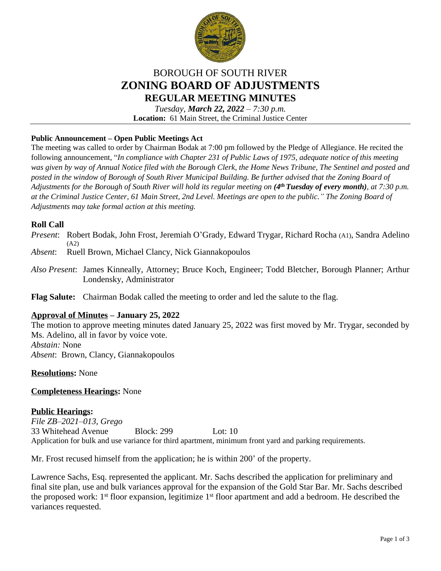

# BOROUGH OF SOUTH RIVER **ZONING BOARD OF ADJUSTMENTS REGULAR MEETING MINUTES**

*Tuesday, March 22, 2022 – 7:30 p.m.* **Location:** 61 Main Street, the Criminal Justice Center

## **Public Announcement – Open Public Meetings Act**

The meeting was called to order by Chairman Bodak at 7:00 pm followed by the Pledge of Allegiance. He recited the following announcement, "*In compliance with Chapter 231 of Public Laws of 1975, adequate notice of this meeting was given by way of Annual Notice filed with the Borough Clerk, the Home News Tribune, The Sentinel and posted and posted in the window of Borough of South River Municipal Building. Be further advised that the Zoning Board of Adjustments for the Borough of South River will hold its regular meeting on (4 th Tuesday of every month), at 7:30 p.m. at the Criminal Justice Center, 61 Main Street, 2nd Level. Meetings are open to the public." The Zoning Board of Adjustments may take formal action at this meeting.*

## **Roll Call**

- *Present*: Robert Bodak, John Frost, Jeremiah O'Grady, Edward Trygar, Richard Rocha (A1), Sandra Adelino (A2)
- *Absent*: Ruell Brown, Michael Clancy, Nick Giannakopoulos
- *Also Present*: James Kinneally, Attorney; Bruce Koch, Engineer; Todd Bletcher, Borough Planner; Arthur Londensky, Administrator
- **Flag Salute:** Chairman Bodak called the meeting to order and led the salute to the flag.

## **Approval of Minutes – January 25, 2022**

The motion to approve meeting minutes dated January 25, 2022 was first moved by Mr. Trygar, seconded by Ms. Adelino, all in favor by voice vote. *Abstain:* None *Absent*: Brown, Clancy, Giannakopoulos

**Resolutions:** None

## **Completeness Hearings:** None

### **Public Hearings:**

*File ZB–2021–013, Grego* 33 Whitehead Avenue Block: 299 Lot: 10 Application for bulk and use variance for third apartment, minimum front yard and parking requirements.

Mr. Frost recused himself from the application; he is within 200' of the property.

Lawrence Sachs, Esq. represented the applicant. Mr. Sachs described the application for preliminary and final site plan, use and bulk variances approval for the expansion of the Gold Star Bar. Mr. Sachs described the proposed work: 1<sup>st</sup> floor expansion, legitimize 1<sup>st</sup> floor apartment and add a bedroom. He described the variances requested.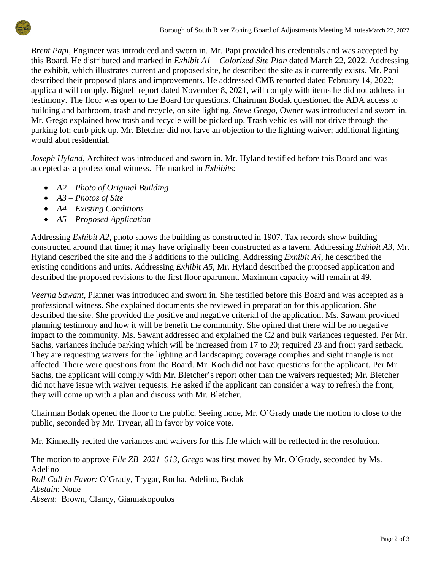

*Brent Papi*, Engineer was introduced and sworn in. Mr. Papi provided his credentials and was accepted by this Board. He distributed and marked in *Exhibit A1 – Colorized Site Plan* dated March 22, 2022. Addressing the exhibit, which illustrates current and proposed site, he described the site as it currently exists. Mr. Papi described their proposed plans and improvements. He addressed CME reported dated February 14, 2022; applicant will comply. Bignell report dated November 8, 2021, will comply with items he did not address in testimony. The floor was open to the Board for questions. Chairman Bodak questioned the ADA access to building and bathroom, trash and recycle, on site lighting. *Steve Grego*, Owner was introduced and sworn in. Mr. Grego explained how trash and recycle will be picked up. Trash vehicles will not drive through the parking lot; curb pick up. Mr. Bletcher did not have an objection to the lighting waiver; additional lighting would abut residential.

*Joseph Hyland*, Architect was introduced and sworn in. Mr. Hyland testified before this Board and was accepted as a professional witness. He marked in *Exhibits:*

- *A2 – Photo of Original Building*
- *A3 – Photos of Site*
- *A4 – Existing Conditions*
- *A5 – Proposed Application*

Addressing *Exhibit A2*, photo shows the building as constructed in 1907. Tax records show building constructed around that time; it may have originally been constructed as a tavern. Addressing *Exhibit A3*, Mr. Hyland described the site and the 3 additions to the building. Addressing *Exhibit A4*, he described the existing conditions and units. Addressing *Exhibit A5*, Mr. Hyland described the proposed application and described the proposed revisions to the first floor apartment. Maximum capacity will remain at 49.

*Veerna Sawant*, Planner was introduced and sworn in. She testified before this Board and was accepted as a professional witness. She explained documents she reviewed in preparation for this application. She described the site. She provided the positive and negative criterial of the application. Ms. Sawant provided planning testimony and how it will be benefit the community. She opined that there will be no negative impact to the community. Ms. Sawant addressed and explained the C2 and bulk variances requested. Per Mr. Sachs, variances include parking which will be increased from 17 to 20; required 23 and front yard setback. They are requesting waivers for the lighting and landscaping; coverage complies and sight triangle is not affected. There were questions from the Board. Mr. Koch did not have questions for the applicant. Per Mr. Sachs, the applicant will comply with Mr. Bletcher's report other than the waivers requested; Mr. Bletcher did not have issue with waiver requests. He asked if the applicant can consider a way to refresh the front; they will come up with a plan and discuss with Mr. Bletcher.

Chairman Bodak opened the floor to the public. Seeing none, Mr. O'Grady made the motion to close to the public, seconded by Mr. Trygar, all in favor by voice vote.

Mr. Kinneally recited the variances and waivers for this file which will be reflected in the resolution.

The motion to approve *File ZB–2021–013, Grego* was first moved by Mr. O'Grady, seconded by Ms. Adelino *Roll Call in Favor:* O'Grady, Trygar, Rocha, Adelino, Bodak *Abstain*: None *Absent*: Brown, Clancy, Giannakopoulos